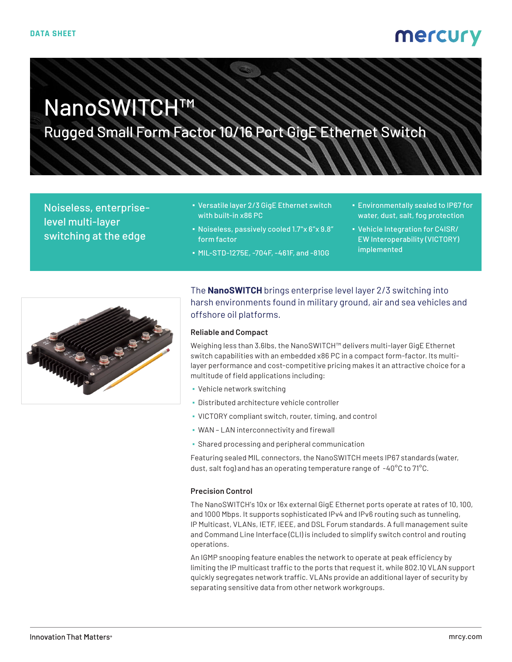# NanoSWITCH™

Rugged Small Form Factor 10/16 Port GigE Ethernet Switch

Noiseless, enterpriselevel multi-layer switching at the edge

- Versatile layer 2/3 GigE Ethernet switch with built-in x86 PC
- Noiseless, passively cooled 1.7"x 6"x 9.8" form factor
- MIL-STD-1275E, -704F, -461F, and -810G
- Environmentally sealed to IP67 for water, dust, salt, fog protection
- Vehicle Integration for C4ISR/ EW Interoperability (VICTORY) implemented



The **NanoSWITCH** brings enterprise level layer 2/3 switching into harsh environments found in military ground, air and sea vehicles and offshore oil platforms.

#### **Reliable and Compact**

Weighing less than 3.6lbs, the NanoSWITCH™ delivers multi-layer GigE Ethernet switch capabilities with an embedded x86 PC in a compact form-factor. Its multilayer performance and cost-competitive pricing makes it an attractive choice for a multitude of field applications including:

- Vehicle network switching
- Distributed architecture vehicle controller
- VICTORY compliant switch, router, timing, and control
- WAN LAN interconnectivity and firewall
- **Shared processing and peripheral communication**

Featuring sealed MIL connectors, the NanoSWITCH meets IP67 standards (water, dust, salt fog) and has an operating temperature range of -40°C to 71°C.

#### **Precision Control**

The NanoSWITCH's 10x or 16x external GigE Ethernet ports operate at rates of 10, 100, and 1000 Mbps. It supports sophisticated IPv4 and IPv6 routing such as tunneling, IP Multicast, VLANs, IETF, IEEE, and DSL Forum standards. A full management suite and Command Line Interface (CLI) is included to simplify switch control and routing operations.

An IGMP snooping feature enables the network to operate at peak efficiency by limiting the IP multicast traffic to the ports that request it, while 802.1Q VLAN support quickly segregates network traffic. VLANs provide an additional layer of security by separating sensitive data from other network workgroups.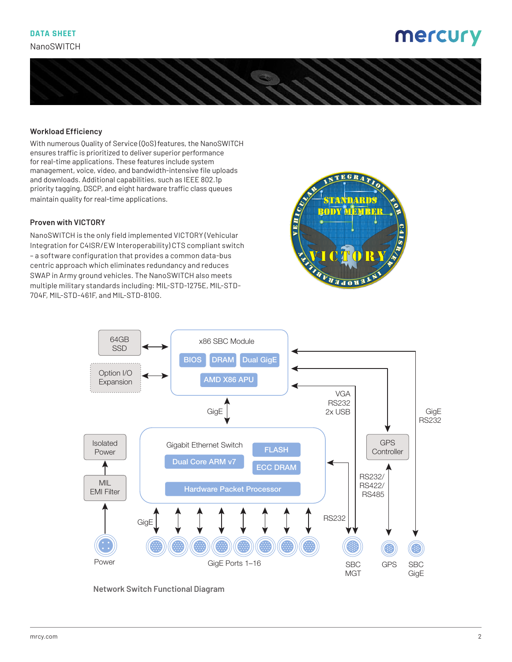

### **Workload Efficiency**

With numerous Quality of Service (QoS) features, the NanoSWITCH ensures traffic is prioritized to deliver superior performance for real-time applications. These features include system management, voice, video, and bandwidth-intensive file uploads and downloads. Additional capabilities, such as IEEE 802.1p priority tagging, DSCP, and eight hardware traffic class queues maintain quality for real-time applications.

#### **Proven with VICTORY**

NanoSWITCH is the only field implemented VICTORY (Vehicular Integration for C4ISR/EW Interoperability) CTS compliant switch – a software configuration that provides a common data-bus centric approach which eliminates redundancy and reduces SWAP in Army ground vehicles. The NanoSWITCH also meets multiple military standards including: MIL-STD-1275E, MIL-STD-704F, MIL-STD-461F, and MIL-STD-810G.





**Network Switch Functional Diagram**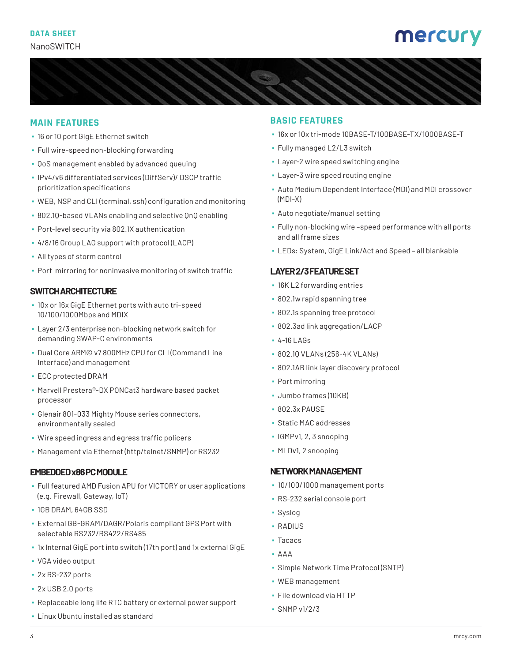

### **MAIN FEATURES**

- 16 or 10 port GigE Ethernet switch
- **· Full wire-speed non-blocking forwarding**
- QoS management enabled by advanced queuing
- IPv4/v6 differentiated services (DiffServ)/ DSCP traffic prioritization specifications
- WEB, NSP and CLI (terminal, ssh) configuration and monitoring
- 802.1Q-based VLANs enabling and selective QnQ enabling
- Port-level security via 802.1X authentication
- 4/8/16 Group LAG support with protocol (LACP)
- All types of storm control
- **Port mirroring for noninvasive monitoring of switch traffic**

# **SWITCH ARCHITECTURE**

- 10x or 16x GigE Ethernet ports with auto tri-speed 10/100/1000Mbps and MDIX
- Layer 2/3 enterprise non-blocking network switch for demanding SWAP-C environments
- Dual Core ARM© v7 800MHz CPU for CLI (Command Line Interface) and management
- ECC protected DRAM
- Marvell Prestera®-DX PONCat3 hardware based packet processor
- Glenair 801-033 Mighty Mouse series connectors, environmentally sealed
- Wire speed ingress and egress traffic policers
- Management via Ethernet (http/telnet/SNMP) or RS232

#### **EMBEDDED x86 PC MODULE**

- Full featured AMD Fusion APU for VICTORY or user applications (e.g. Firewall, Gateway, IoT)
- 1GB DRAM, 64GB SSD
- External GB-GRAM/DAGR/Polaris compliant GPS Port with selectable RS232/RS422/RS485
- 1x Internal GigE port into switch (17th port) and 1x external GigE
- VGA video output
- 2x RS-232 ports
- 2x USB 2.0 ports
- Replaceable long life RTC battery or external power support
- Linux Ubuntu installed as standard

#### **BASIC FEATURES**

- 16x or 10x tri-mode 10BASE-T/100BASE-TX/1000BASE-T
- Fully managed L2/L3 switch
- **· Layer-2 wire speed switching engine**
- **·** Layer-3 wire speed routing engine
- Auto Medium Dependent Interface (MDI) and MDI crossover (MDI-X)
- Auto negotiate/manual setting
- Fully non-blocking wire –speed performance with all ports and all frame sizes
- LEDs: System, GigE Link/Act and Speed all blankable

### **LAYER 2/3 FEATURE SET**

- 16K L2 forwarding entries
- 802.1w rapid spanning tree
- 802.1s spanning tree protocol
- 802.3ad link aggregation/LACP
- 4-16 LAGs
- 802.1Q VLANs (256-4K VLANs)
- 802.1AB link layer discovery protocol
- Port mirroring
- Jumbo frames (10KB)
- 802.3x PAUSE
- Static MAC addresses
- IGMPv1, 2, 3 snooping
- MLDv1, 2 snooping

#### **NETWORK MANAGEMENT**

- 10/100/1000 management ports
- RS-232 serial console port
- Syslog
- RADIUS
- Tacacs
- AAA
- Simple Network Time Protocol (SNTP)
- WEB management
- File download via HTTP
- SNMP v1/2/3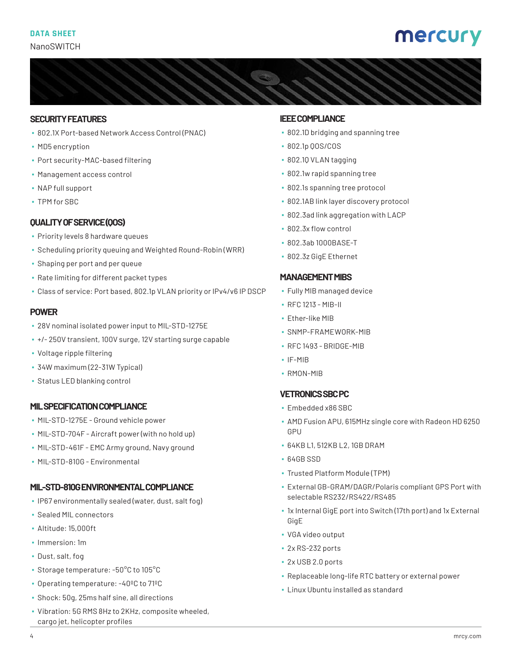### **SECURITY FEATURES**

- 802.1X Port-based Network Access Control (PNAC)
- MD5 encryption
- Port security-MAC-based filtering
- Management access control
- NAP full support
- TPM for SBC

# **QUALITY OF SERVICE (QOS)**

- **Priority levels 8 hardware queues**
- Scheduling priority queuing and Weighted Round-Robin (WRR)
- Shaping per port and per queue
- Rate limiting for different packet types
- Class of service: Port based, 802.1p VLAN priority or IPv4/v6 IP DSCP

# **POWER**

- 28V nominal isolated power input to MIL-STD-1275E
- +/- 250V transient, 100V surge, 12V starting surge capable
- Voltage ripple filtering
- 34W maximum (22-31W Typical)
- Status LED blanking control

# **MIL SPECIFICATION COMPLIANCE**

- MIL-STD-1275E Ground vehicle power
- MIL-STD-704F Aircraft power (with no hold up)
- MIL-STD-461F EMC Army ground, Navy ground
- MIL-STD-810G Environmental

# **MIL-STD-810G ENVIRONMENTAL COMPLIANCE**

- IP67 environmentally sealed (water, dust, salt fog)
- Sealed MIL connectors
- Altitude: 15,000ft
- Immersion: 1m
- Dust, salt, fog
- Storage temperature: -50°C to 105°C
- Operating temperature: -40ºC to 71ºC
- Shock: 50g, 25ms half sine, all directions
- Vibration: 5G RMS 8Hz to 2KHz, composite wheeled, cargo jet, helicopter profiles

# **IEEE COMPLIANCE**

- 802.1D bridging and spanning tree
- 802.1p QOS/COS
- 802.1Q VLAN tagging
- 802.1w rapid spanning tree
- 802.1s spanning tree protocol
- 802.1AB link layer discovery protocol
- 802.3ad link aggregation with LACP
- 802.3x flow control
- 802.3ab 1000BASE-T
- 802.3z GigE Ethernet

### **MANAGEMENT MIBS**

- Fully MIB managed device
- RFC 1213 MIB-II
- **·** Ether-like MIB
- SNMP-FRAMEWORK-MIB
- $\cdot$  RFC 1493 BRIDGE-MIB
- IF-MIB
- RMON-MIB

# **VETRONICS SBC PC**

- Embedded x86 SBC
- AMD Fusion APU, 615MHz single core with Radeon HD 6250 **GPU**
- 64KB L1, 512KB L2, 1GB DRAM
- 64GB SSD
- Trusted Platform Module (TPM)
- External GB-GRAM/DAGR/Polaris compliant GPS Port with selectable RS232/RS422/RS485
- 1x Internal GigE port into Switch (17th port) and 1x External GigE
- VGA video output
- 2x RS-232 ports
- 2x USB 2.0 ports
- Replaceable long-life RTC battery or external power
- Linux Ubuntu installed as standard